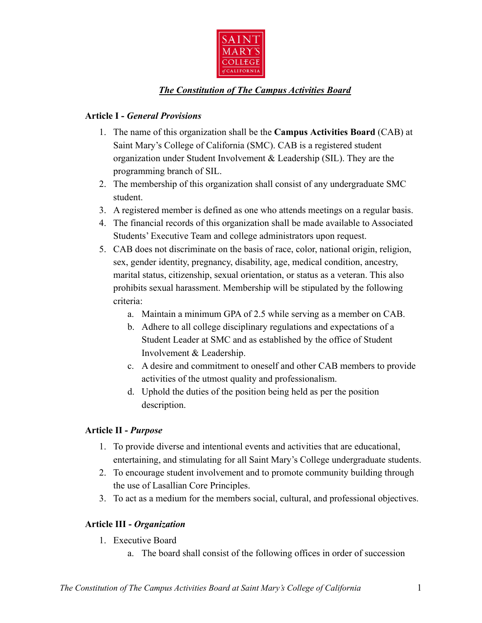

## *The Constitution of The Campus Activities Board*

## **Article I -** *General Provisions*

- 1. The name of this organization shall be the **Campus Activities Board** (CAB) at Saint Mary's College of California (SMC). CAB is a registered student organization under Student Involvement & Leadership (SIL). They are the programming branch of SIL.
- 2. The membership of this organization shall consist of any undergraduate SMC student.
- 3. A registered member is defined as one who attends meetings on a regular basis.
- 4. The financial records of this organization shall be made available to Associated Students' Executive Team and college administrators upon request.
- 5. CAB does not discriminate on the basis of race, color, national origin, religion, sex, gender identity, pregnancy, disability, age, medical condition, ancestry, marital status, citizenship, sexual orientation, or status as a veteran. This also prohibits sexual harassment. Membership will be stipulated by the following criteria:
	- a. Maintain a minimum GPA of 2.5 while serving as a member on CAB.
	- b. Adhere to all college disciplinary regulations and expectations of a Student Leader at SMC and as established by the office of Student Involvement & Leadership.
	- c. A desire and commitment to oneself and other CAB members to provide activities of the utmost quality and professionalism.
	- d. Uphold the duties of the position being held as per the position description.

### **Article II -** *Purpose*

- 1. To provide diverse and intentional events and activities that are educational, entertaining, and stimulating for all Saint Mary's College undergraduate students.
- 2. To encourage student involvement and to promote community building through the use of Lasallian Core Principles.
- 3. To act as a medium for the members social, cultural, and professional objectives.

## **Article III -** *Organization*

- 1. Executive Board
	- a. The board shall consist of the following offices in order of succession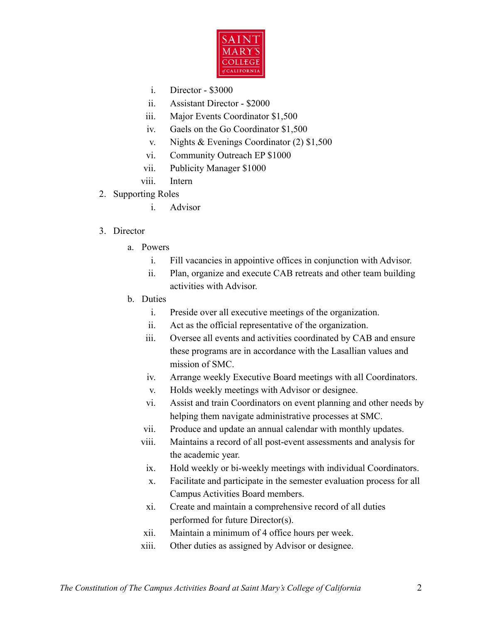

- i. Director \$3000
- ii. Assistant Director \$2000
- iii. Major Events Coordinator \$1,500
- iv. Gaels on the Go Coordinator \$1,500
- v. Nights & Evenings Coordinator (2) \$1,500
- vi. Community Outreach EP \$1000
- vii. Publicity Manager \$1000
- viii. Intern
- 2. Supporting Roles
	- i. Advisor

## 3. Director

- a. Powers
	- i. Fill vacancies in appointive offices in conjunction with Advisor.
	- ii. Plan, organize and execute CAB retreats and other team building activities with Advisor.
- b. Duties
	- i. Preside over all executive meetings of the organization.
	- ii. Act as the official representative of the organization.
	- iii. Oversee all events and activities coordinated by CAB and ensure these programs are in accordance with the Lasallian values and mission of SMC.
	- iv. Arrange weekly Executive Board meetings with all Coordinators.
	- v. Holds weekly meetings with Advisor or designee.
	- vi. Assist and train Coordinators on event planning and other needs by helping them navigate administrative processes at SMC.
	- vii. Produce and update an annual calendar with monthly updates.
	- viii. Maintains a record of all post-event assessments and analysis for the academic year.
		- ix. Hold weekly or bi-weekly meetings with individual Coordinators.
		- x. Facilitate and participate in the semester evaluation process for all Campus Activities Board members.
		- xi. Create and maintain a comprehensive record of all duties performed for future Director(s).
	- xii. Maintain a minimum of 4 office hours per week.
	- xiii. Other duties as assigned by Advisor or designee.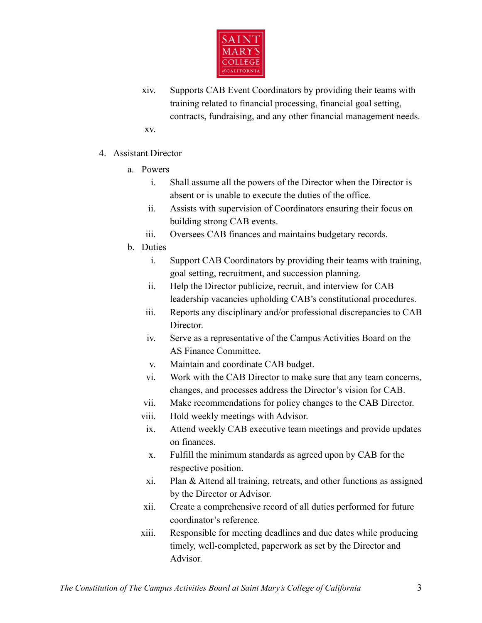

- xiv. Supports CAB Event Coordinators by providing their teams with training related to financial processing, financial goal setting, contracts, fundraising, and any other financial management needs. xv.
- 4. Assistant Director
	- a. Powers
		- i. Shall assume all the powers of the Director when the Director is absent or is unable to execute the duties of the office.
		- ii. Assists with supervision of Coordinators ensuring their focus on building strong CAB events.
		- iii. Oversees CAB finances and maintains budgetary records.
	- b. Duties
		- i. Support CAB Coordinators by providing their teams with training, goal setting, recruitment, and succession planning.
		- ii. Help the Director publicize, recruit, and interview for CAB leadership vacancies upholding CAB's constitutional procedures.
		- iii. Reports any disciplinary and/or professional discrepancies to CAB Director.
		- iv. Serve as a representative of the Campus Activities Board on the AS Finance Committee.
		- v. Maintain and coordinate CAB budget.
		- vi. Work with the CAB Director to make sure that any team concerns, changes, and processes address the Director's vision for CAB.
		- vii. Make recommendations for policy changes to the CAB Director.
		- viii. Hold weekly meetings with Advisor.
		- ix. Attend weekly CAB executive team meetings and provide updates on finances.
		- x. Fulfill the minimum standards as agreed upon by CAB for the respective position.
		- xi. Plan & Attend all training, retreats, and other functions as assigned by the Director or Advisor.
		- xii. Create a comprehensive record of all duties performed for future coordinator's reference.
		- xiii. Responsible for meeting deadlines and due dates while producing timely, well-completed, paperwork as set by the Director and Advisor.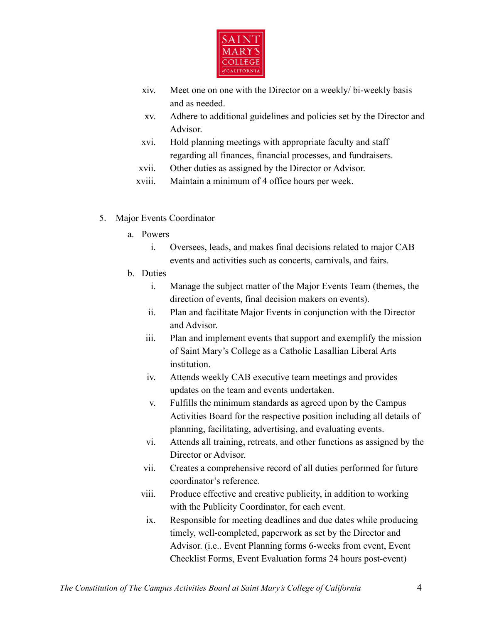

- xiv. Meet one on one with the Director on a weekly/ bi-weekly basis and as needed.
- xv. Adhere to additional guidelines and policies set by the Director and Advisor.
- xvi. Hold planning meetings with appropriate faculty and staff regarding all finances, financial processes, and fundraisers.
- xvii. Other duties as assigned by the Director or Advisor.
- xviii. Maintain a minimum of 4 office hours per week.
- 5. Major Events Coordinator
	- a. Powers
		- i. Oversees, leads, and makes final decisions related to major CAB events and activities such as concerts, carnivals, and fairs.
	- b. Duties
		- i. Manage the subject matter of the Major Events Team (themes, the direction of events, final decision makers on events).
		- ii. Plan and facilitate Major Events in conjunction with the Director and Advisor.
		- iii. Plan and implement events that support and exemplify the mission of Saint Mary's College as a Catholic Lasallian Liberal Arts institution.
		- iv. Attends weekly CAB executive team meetings and provides updates on the team and events undertaken.
		- v. Fulfills the minimum standards as agreed upon by the Campus Activities Board for the respective position including all details of planning, facilitating, advertising, and evaluating events.
		- vi. Attends all training, retreats, and other functions as assigned by the Director or Advisor.
		- vii. Creates a comprehensive record of all duties performed for future coordinator's reference.
		- viii. Produce effective and creative publicity, in addition to working with the Publicity Coordinator, for each event.
		- ix. Responsible for meeting deadlines and due dates while producing timely, well-completed, paperwork as set by the Director and Advisor. (i.e.. Event Planning forms 6-weeks from event, Event Checklist Forms, Event Evaluation forms 24 hours post-event)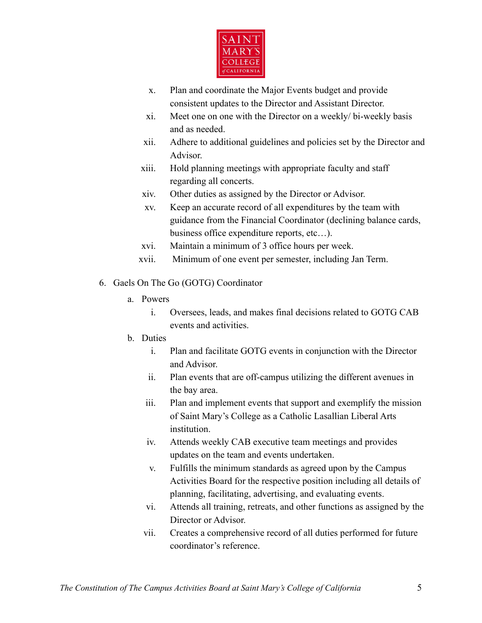

- x. Plan and coordinate the Major Events budget and provide consistent updates to the Director and Assistant Director.
- xi. Meet one on one with the Director on a weekly/ bi-weekly basis and as needed.
- xii. Adhere to additional guidelines and policies set by the Director and Advisor.
- xiii. Hold planning meetings with appropriate faculty and staff regarding all concerts.
- xiv. Other duties as assigned by the Director or Advisor.
- xv. Keep an accurate record of all expenditures by the team with guidance from the Financial Coordinator (declining balance cards, business office expenditure reports, etc…).
- xvi. Maintain a minimum of 3 office hours per week.
- xvii. Minimum of one event per semester, including Jan Term.
- 6. Gaels On The Go (GOTG) Coordinator
	- a. Powers
		- i. Oversees, leads, and makes final decisions related to GOTG CAB events and activities.
	- b. Duties
		- i. Plan and facilitate GOTG events in conjunction with the Director and Advisor.
		- ii. Plan events that are off-campus utilizing the different avenues in the bay area.
		- iii. Plan and implement events that support and exemplify the mission of Saint Mary's College as a Catholic Lasallian Liberal Arts institution.
		- iv. Attends weekly CAB executive team meetings and provides updates on the team and events undertaken.
		- v. Fulfills the minimum standards as agreed upon by the Campus Activities Board for the respective position including all details of planning, facilitating, advertising, and evaluating events.
		- vi. Attends all training, retreats, and other functions as assigned by the Director or Advisor.
		- vii. Creates a comprehensive record of all duties performed for future coordinator's reference.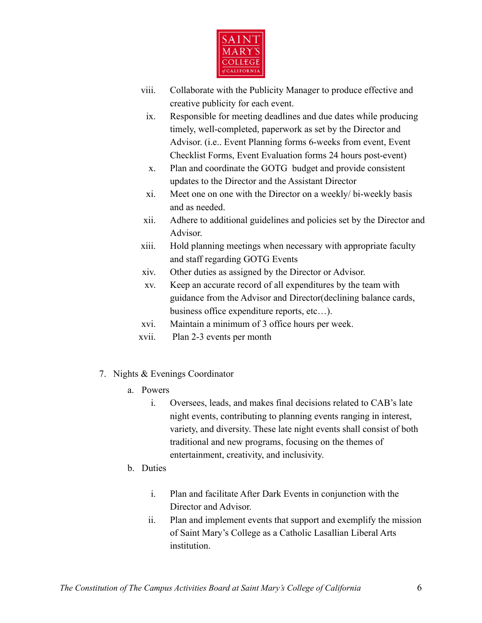

- viii. Collaborate with the Publicity Manager to produce effective and creative publicity for each event.
	- ix. Responsible for meeting deadlines and due dates while producing timely, well-completed, paperwork as set by the Director and Advisor. (i.e.. Event Planning forms 6-weeks from event, Event Checklist Forms, Event Evaluation forms 24 hours post-event)
	- x. Plan and coordinate the GOTG budget and provide consistent updates to the Director and the Assistant Director
	- xi. Meet one on one with the Director on a weekly/ bi-weekly basis and as needed.
- xii. Adhere to additional guidelines and policies set by the Director and Advisor.
- xiii. Hold planning meetings when necessary with appropriate faculty and staff regarding GOTG Events
- xiv. Other duties as assigned by the Director or Advisor.
- xv. Keep an accurate record of all expenditures by the team with guidance from the Advisor and Director(declining balance cards, business office expenditure reports, etc…).
- xvi. Maintain a minimum of 3 office hours per week.
- xvii. Plan 2-3 events per month
- 7. Nights & Evenings Coordinator
	- a. Powers
		- i. Oversees, leads, and makes final decisions related to CAB's late night events, contributing to planning events ranging in interest, variety, and diversity. These late night events shall consist of both traditional and new programs, focusing on the themes of entertainment, creativity, and inclusivity.
	- b. Duties
		- i. Plan and facilitate After Dark Events in conjunction with the Director and Advisor.
		- ii. Plan and implement events that support and exemplify the mission of Saint Mary's College as a Catholic Lasallian Liberal Arts institution.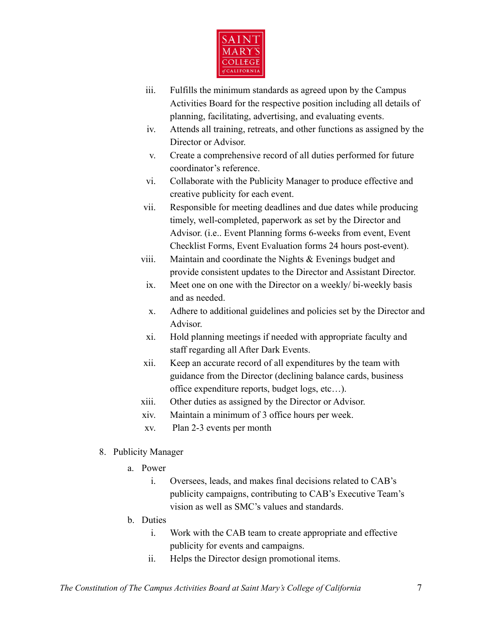

- iii. Fulfills the minimum standards as agreed upon by the Campus Activities Board for the respective position including all details of planning, facilitating, advertising, and evaluating events.
- iv. Attends all training, retreats, and other functions as assigned by the Director or Advisor.
- v. Create a comprehensive record of all duties performed for future coordinator's reference.
- vi. Collaborate with the Publicity Manager to produce effective and creative publicity for each event.
- vii. Responsible for meeting deadlines and due dates while producing timely, well-completed, paperwork as set by the Director and Advisor. (i.e.. Event Planning forms 6-weeks from event, Event Checklist Forms, Event Evaluation forms 24 hours post-event).
- viii. Maintain and coordinate the Nights & Evenings budget and provide consistent updates to the Director and Assistant Director.
	- ix. Meet one on one with the Director on a weekly/ bi-weekly basis and as needed.
	- x. Adhere to additional guidelines and policies set by the Director and Advisor.
	- xi. Hold planning meetings if needed with appropriate faculty and staff regarding all After Dark Events.
- xii. Keep an accurate record of all expenditures by the team with guidance from the Director (declining balance cards, business office expenditure reports, budget logs, etc…).
- xiii. Other duties as assigned by the Director or Advisor.
- xiv. Maintain a minimum of 3 office hours per week.
- xv. Plan 2-3 events per month
- 8. Publicity Manager
	- a. Power
		- i. Oversees, leads, and makes final decisions related to CAB's publicity campaigns, contributing to CAB's Executive Team's vision as well as SMC's values and standards.
	- b. Duties
		- i. Work with the CAB team to create appropriate and effective publicity for events and campaigns.
		- ii. Helps the Director design promotional items.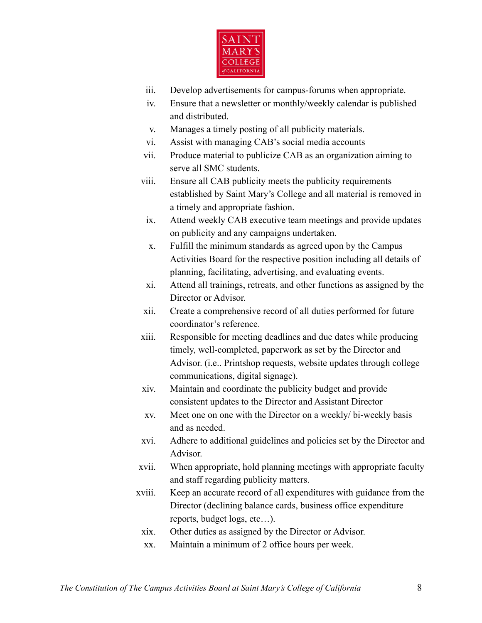

- iii. Develop advertisements for campus-forums when appropriate.
- iv. Ensure that a newsletter or monthly/weekly calendar is published and distributed.
- v. Manages a timely posting of all publicity materials.
- vi. Assist with managing CAB's social media accounts
- vii. Produce material to publicize CAB as an organization aiming to serve all SMC students.
- viii. Ensure all CAB publicity meets the publicity requirements established by Saint Mary's College and all material is removed in a timely and appropriate fashion.
	- ix. Attend weekly CAB executive team meetings and provide updates on publicity and any campaigns undertaken.
	- x. Fulfill the minimum standards as agreed upon by the Campus Activities Board for the respective position including all details of planning, facilitating, advertising, and evaluating events.
- xi. Attend all trainings, retreats, and other functions as assigned by the Director or Advisor.
- xii. Create a comprehensive record of all duties performed for future coordinator's reference.
- xiii. Responsible for meeting deadlines and due dates while producing timely, well-completed, paperwork as set by the Director and Advisor. (i.e.. Printshop requests, website updates through college communications, digital signage).
- xiv. Maintain and coordinate the publicity budget and provide consistent updates to the Director and Assistant Director
- xv. Meet one on one with the Director on a weekly/ bi-weekly basis and as needed.
- xvi. Adhere to additional guidelines and policies set by the Director and Advisor.
- xvii. When appropriate, hold planning meetings with appropriate faculty and staff regarding publicity matters.
- xviii. Keep an accurate record of all expenditures with guidance from the Director (declining balance cards, business office expenditure reports, budget logs, etc…).
	- xix. Other duties as assigned by the Director or Advisor.
	- xx. Maintain a minimum of 2 office hours per week.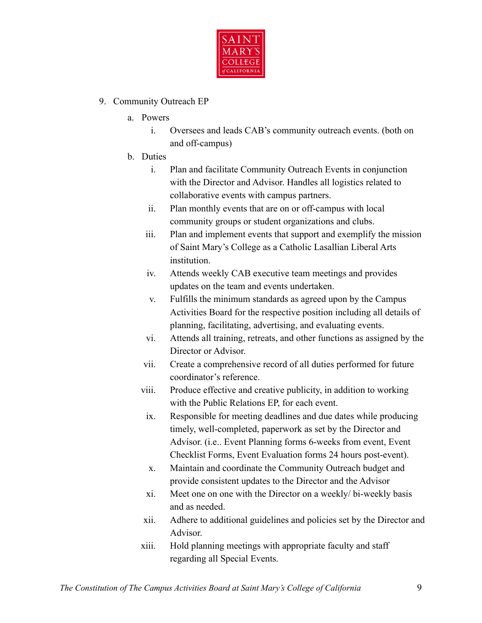

## 9. Community Outreach EP

- a. Powers
	- i. Oversees and leads CAB's community outreach events. (both on and off-campus)
- b. Duties
	- i. Plan and facilitate Community Outreach Events in conjunction with the Director and Advisor. Handles all logistics related to collaborative events with campus partners.
	- ii. Plan monthly events that are on or off-campus with local community groups or student organizations and clubs.
	- iii. Plan and implement events that support and exemplify the mission of Saint Mary's College as a Catholic Lasallian Liberal Arts institution.
	- iv. Attends weekly CAB executive team meetings and provides updates on the team and events undertaken.
	- v. Fulfills the minimum standards as agreed upon by the Campus Activities Board for the respective position including all details of planning, facilitating, advertising, and evaluating events.
	- vi. Attends all training, retreats, and other functions as assigned by the Director or Advisor.
	- vii. Create a comprehensive record of all duties performed for future coordinator's reference.
	- viii. Produce effective and creative publicity, in addition to working with the Public Relations EP, for each event.
	- ix. Responsible for meeting deadlines and due dates while producing timely, well-completed, paperwork as set by the Director and Advisor. (i.e.. Event Planning forms 6-weeks from event, Event Checklist Forms, Event Evaluation forms 24 hours post-event).
	- x. Maintain and coordinate the Community Outreach budget and provide consistent updates to the Director and the Advisor
	- xi. Meet one on one with the Director on a weekly/ bi-weekly basis and as needed.
	- xii. Adhere to additional guidelines and policies set by the Director and Advisor.
	- xiii. Hold planning meetings with appropriate faculty and staff regarding all Special Events.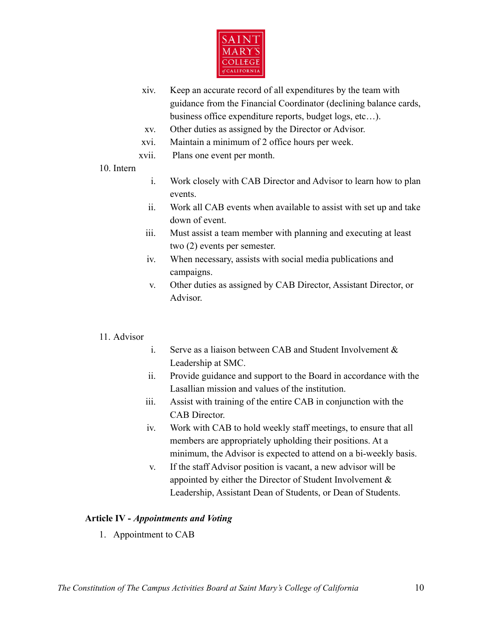

- xiv. Keep an accurate record of all expenditures by the team with guidance from the Financial Coordinator (declining balance cards, business office expenditure reports, budget logs, etc…).
- xv. Other duties as assigned by the Director or Advisor.
- xvi. Maintain a minimum of 2 office hours per week.
- xvii. Plans one event per month.
- 10. Intern
- i. Work closely with CAB Director and Advisor to learn how to plan events.
- ii. Work all CAB events when available to assist with set up and take down of event.
- iii. Must assist a team member with planning and executing at least two (2) events per semester.
- iv. When necessary, assists with social media publications and campaigns.
- v. Other duties as assigned by CAB Director, Assistant Director, or Advisor.

### 11. Advisor

- i. Serve as a liaison between CAB and Student Involvement & Leadership at SMC.
- ii. Provide guidance and support to the Board in accordance with the Lasallian mission and values of the institution.
- iii. Assist with training of the entire CAB in conjunction with the CAB Director.
- iv. Work with CAB to hold weekly staff meetings, to ensure that all members are appropriately upholding their positions. At a minimum, the Advisor is expected to attend on a bi-weekly basis.
- v. If the staff Advisor position is vacant, a new advisor will be appointed by either the Director of Student Involvement & Leadership, Assistant Dean of Students, or Dean of Students.

### **Article IV -** *Appointments and Voting*

1. Appointment to CAB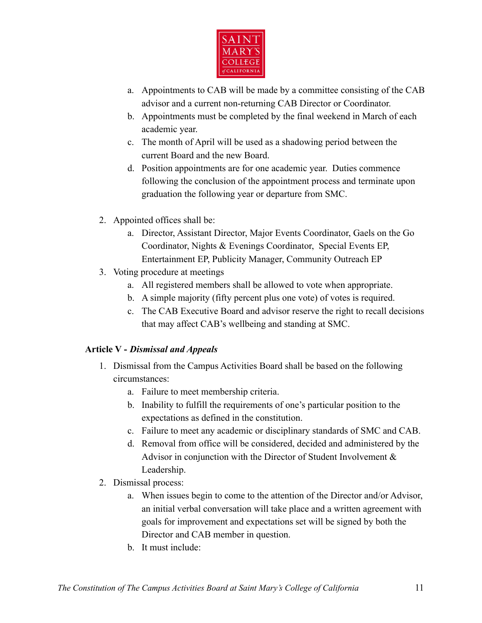

- a. Appointments to CAB will be made by a committee consisting of the CAB advisor and a current non-returning CAB Director or Coordinator.
- b. Appointments must be completed by the final weekend in March of each academic year.
- c. The month of April will be used as a shadowing period between the current Board and the new Board.
- d. Position appointments are for one academic year. Duties commence following the conclusion of the appointment process and terminate upon graduation the following year or departure from SMC.
- 2. Appointed offices shall be:
	- a. Director, Assistant Director, Major Events Coordinator, Gaels on the Go Coordinator, Nights & Evenings Coordinator, Special Events EP, Entertainment EP, Publicity Manager, Community Outreach EP
- 3. Voting procedure at meetings
	- a. All registered members shall be allowed to vote when appropriate.
	- b. A simple majority (fifty percent plus one vote) of votes is required.
	- c. The CAB Executive Board and advisor reserve the right to recall decisions that may affect CAB's wellbeing and standing at SMC.

# **Article V -** *Dismissal and Appeals*

- 1. Dismissal from the Campus Activities Board shall be based on the following circumstances:
	- a. Failure to meet membership criteria.
	- b. Inability to fulfill the requirements of one's particular position to the expectations as defined in the constitution.
	- c. Failure to meet any academic or disciplinary standards of SMC and CAB.
	- d. Removal from office will be considered, decided and administered by the Advisor in conjunction with the Director of Student Involvement & Leadership.
- 2. Dismissal process:
	- a. When issues begin to come to the attention of the Director and/or Advisor, an initial verbal conversation will take place and a written agreement with goals for improvement and expectations set will be signed by both the Director and CAB member in question.
	- b. It must include: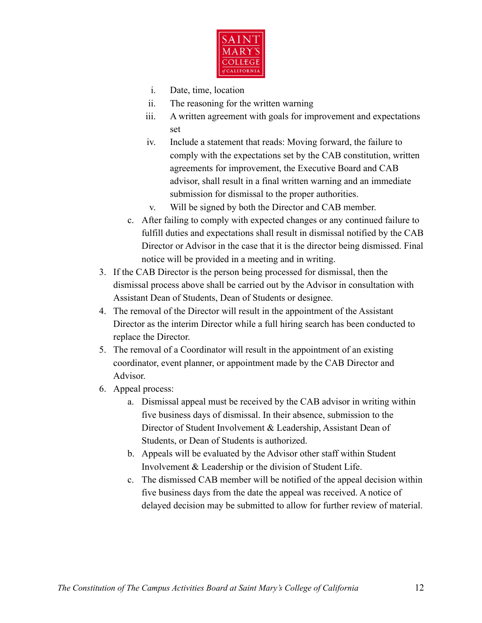

- i. Date, time, location
- ii. The reasoning for the written warning
- iii. A written agreement with goals for improvement and expectations set
- iv. Include a statement that reads: Moving forward, the failure to comply with the expectations set by the CAB constitution, written agreements for improvement, the Executive Board and CAB advisor, shall result in a final written warning and an immediate submission for dismissal to the proper authorities.
- v. Will be signed by both the Director and CAB member.
- c. After failing to comply with expected changes or any continued failure to fulfill duties and expectations shall result in dismissal notified by the CAB Director or Advisor in the case that it is the director being dismissed. Final notice will be provided in a meeting and in writing.
- 3. If the CAB Director is the person being processed for dismissal, then the dismissal process above shall be carried out by the Advisor in consultation with Assistant Dean of Students, Dean of Students or designee.
- 4. The removal of the Director will result in the appointment of the Assistant Director as the interim Director while a full hiring search has been conducted to replace the Director.
- 5. The removal of a Coordinator will result in the appointment of an existing coordinator, event planner, or appointment made by the CAB Director and Advisor.
- 6. Appeal process:
	- a. Dismissal appeal must be received by the CAB advisor in writing within five business days of dismissal. In their absence, submission to the Director of Student Involvement & Leadership, Assistant Dean of Students, or Dean of Students is authorized.
	- b. Appeals will be evaluated by the Advisor other staff within Student Involvement & Leadership or the division of Student Life.
	- c. The dismissed CAB member will be notified of the appeal decision within five business days from the date the appeal was received. A notice of delayed decision may be submitted to allow for further review of material.